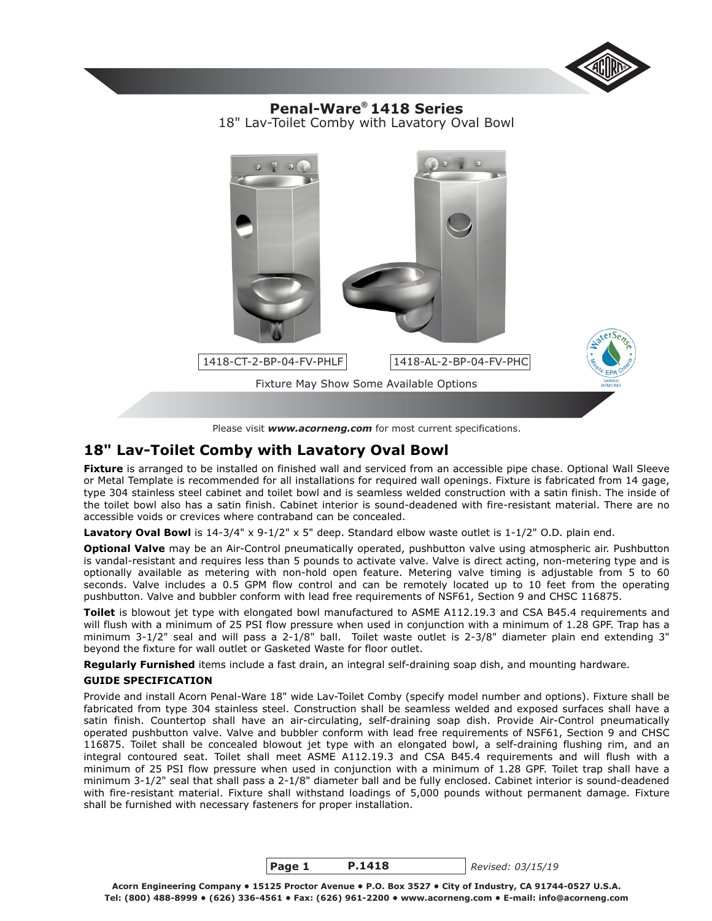

18" Lav-Toilet Comby with Lavatory Oval Bowl **® Penal-Ware 1418 Series**



# **18" Lav-Toilet Comby with Lavatory Oval Bowl**

Fixture is arranged to be installed on finished wall and serviced from an accessible pipe chase. Optional Wall Sleeve or Metal Template is recommended for all installations for required wall openings. Fixture is fabricated from 14 gage, type 304 stainless steel cabinet and toilet bowl and is seamless welded construction with a satin finish. The inside of the toilet bowl also has a satin finish. Cabinet interior is sound-deadened with fire-resistant material. There are no accessible voids or crevices where contraband can be concealed.

Lavatory Oval Bowl is 14-3/4" x 9-1/2" x 5" deep. Standard elbow waste outlet is 1-1/2" O.D. plain end.

**Optional Valve** may be an Air-Control pneumatically operated, pushbutton valve using atmospheric air. Pushbutton is vandal-resistant and requires less than 5 pounds to activate valve. Valve is direct acting, non-metering type and is optionally available as metering with non-hold open feature. Metering valve timing is adjustable from 5 to 60 seconds. Valve includes a 0.5 GPM flow control and can be remotely located up to 10 feet from the operating pushbutton. Valve and bubbler conform with lead free requirements of NSF61, Section 9 and CHSC 116875.

**Toilet** is blowout jet type with elongated bowl manufactured to ASME A112.19.3 and CSA B45.4 requirements and will flush with a minimum of 25 PSI flow pressure when used in conjunction with a minimum of 1.28 GPF. Trap has a minimum 3-1/2" seal and will pass a 2-1/8" ball. Toilet waste outlet is 2-3/8" diameter plain end extending 3" beyond the fixture for wall outlet or Gasketed Waste for floor outlet.

**Regularly Furnished** items include a fast drain, an integral self-draining soap dish, and mounting hardware.

### **GUIDE SPECIFICATION**

Provide and install Acorn Penal-Ware 18" wide Lav-Toilet Comby (specify model number and options). Fixture shall be fabricated from type 304 stainless steel. Construction shall be seamless welded and exposed surfaces shall have a satin finish. Countertop shall have an air-circulating, self-draining soap dish. Provide Air-Control pneumatically operated pushbutton valve. Valve and bubbler conform with lead free requirements of NSF61, Section 9 and CHSC 116875. Toilet shall be concealed blowout jet type with an elongated bowl, a self-draining flushing rim, and an integral contoured seat. Toilet shall meet ASME A112.19.3 and CSA B45.4 requirements and will flush with a minimum of 25 PSI flow pressure when used in conjunction with a minimum of 1.28 GPF. Toilet trap shall have a minimum 3-1/2" seal that shall pass a 2-1/8" diameter ball and be fully enclosed. Cabinet interior is sound-deadened with fire-resistant material. Fixture shall withstand loadings of 5,000 pounds without permanent damage. Fixture shall be furnished with necessary fasteners for proper installation.

> **Page 1 P.1418**

*Revised: 03/15/19*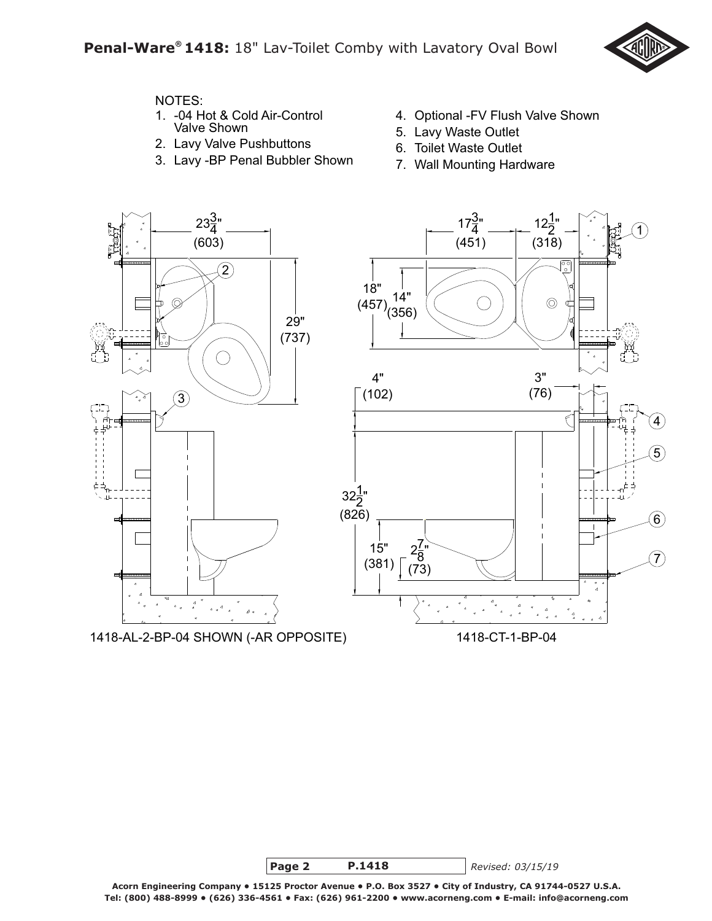

# NOTES:

- 1. -04 Hot & Cold Air-Control Valve Shown
- 2. Lavy Valve Pushbuttons
- 3. Lavy -BP Penal Bubbler Shown
- 4. Optional -FV Flush Valve Shown
- 5. Lavy Waste Outlet
- 6. Toilet Waste Outlet
- 7. Wall Mounting Hardware



1418-AL-2-BP-04 SHOWN (-AR OPPOSITE) 1418-CT-1-BP-04



*Revised: 03/15/19*